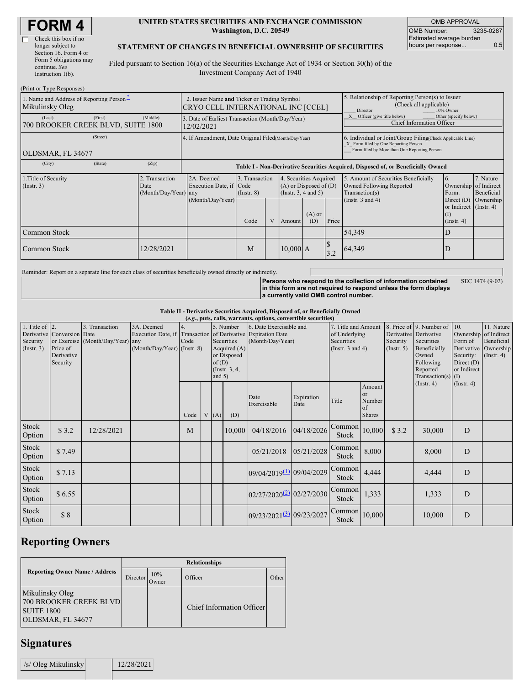| <b>FORM4</b> |  |
|--------------|--|
|--------------|--|

| Check this box if no   |
|------------------------|
| longer subject to      |
| Section 16. Form 4 or  |
| Form 5 obligations may |
| continue. See          |
| Instruction $1(b)$ .   |

#### **UNITED STATES SECURITIES AND EXCHANGE COMMISSION Washington, D.C. 20549**

OMB APPROVAL OMB Number: 3235-0287 Estimated average burden hours per response... 0.5

### **STATEMENT OF CHANGES IN BENEFICIAL OWNERSHIP OF SECURITIES**

Filed pursuant to Section 16(a) of the Securities Exchange Act of 1934 or Section 30(h) of the Investment Company Act of 1940

| (Print or Type Responses)                                     |         |                      |                                                                                   |                                                                                                                       |  |            |                 |                                                                                  |                                                                                                                                                    |                                                                        |                         |
|---------------------------------------------------------------|---------|----------------------|-----------------------------------------------------------------------------------|-----------------------------------------------------------------------------------------------------------------------|--|------------|-----------------|----------------------------------------------------------------------------------|----------------------------------------------------------------------------------------------------------------------------------------------------|------------------------------------------------------------------------|-------------------------|
| 1. Name and Address of Reporting Person-<br>Mikulinsky Oleg   |         |                      | 2. Issuer Name and Ticker or Trading Symbol<br>CRYO CELL INTERNATIONAL INC [CCEL] |                                                                                                                       |  |            |                 |                                                                                  | 5. Relationship of Reporting Person(s) to Issuer<br>(Check all applicable)<br>10% Owner<br>Director                                                |                                                                        |                         |
| (Last)<br>700 BROOKER CREEK BLVD, SUITE 1800                  | (First) | (Middle)             | 3. Date of Earliest Transaction (Month/Day/Year)<br>12/02/2021                    |                                                                                                                       |  |            |                 |                                                                                  | Other (specify below)<br>Officer (give title below)<br><b>Chief Information Officer</b>                                                            |                                                                        |                         |
| (Street)<br>OLDSMAR, FL 34677                                 |         |                      | 4. If Amendment, Date Original Filed(Month/Day/Year)                              |                                                                                                                       |  |            |                 |                                                                                  | 6. Individual or Joint/Group Filing Check Applicable Line)<br>X Form filed by One Reporting Person<br>Form filed by More than One Reporting Person |                                                                        |                         |
| (City)                                                        | (State) | (Zip)                |                                                                                   |                                                                                                                       |  |            |                 | Table I - Non-Derivative Securities Acquired, Disposed of, or Beneficially Owned |                                                                                                                                                    |                                                                        |                         |
| 1. Title of Security<br>2. Transaction<br>(Insert. 3)<br>Date |         | (Month/Day/Year) any | 2A. Deemed<br>Execution Date, if Code                                             | 3. Transaction<br>4. Securities Acquired<br>$(A)$ or Disposed of $(D)$<br>(Instr. $3, 4$ and $5$ )<br>$($ Instr. $8)$ |  |            |                 |                                                                                  | 5. Amount of Securities Beneficially<br>Owned Following Reported<br>Transaction(s)                                                                 | 6.<br>Ownership of Indirect<br>Form:                                   | 7. Nature<br>Beneficial |
|                                                               |         |                      | (Month/Day/Year)                                                                  | Code                                                                                                                  |  | Amount     | $(A)$ or<br>(D) | Price                                                                            | (Instr. $3$ and $4$ )                                                                                                                              | Direct $(D)$<br>or Indirect (Instr. 4)<br>$\Omega$<br>$($ Instr. 4 $)$ | Ownership               |
| Common Stock                                                  |         |                      |                                                                                   |                                                                                                                       |  |            |                 |                                                                                  | 54,349                                                                                                                                             | D                                                                      |                         |
| Common Stock                                                  |         | 12/28/2021           |                                                                                   | M                                                                                                                     |  | $10,000$ A |                 | $\boldsymbol{\mathcal{S}}$<br>3.2                                                | 64,349                                                                                                                                             | ID                                                                     |                         |

Reminder: Report on a separate line for each class of securities beneficially owned directly or indirectly.

**Persons who respond to the collection of information contained in this form are not required to respond unless the form displays a currently valid OMB control number.** SEC 1474 (9-02)

**Table II - Derivative Securities Acquired, Disposed of, or Beneficially Owned**

|                        | (e.g., puts, calls, warrants, options, convertible securities) |                                  |                                                              |      |  |          |                |                                      |                     |                                    |               |                          |                       |                             |                  |
|------------------------|----------------------------------------------------------------|----------------------------------|--------------------------------------------------------------|------|--|----------|----------------|--------------------------------------|---------------------|------------------------------------|---------------|--------------------------|-----------------------|-----------------------------|------------------|
| 1. Title of $\vert$ 2. |                                                                | 3. Transaction                   | 3A. Deemed                                                   |      |  |          | 5. Number      | 6. Date Exercisable and              | 7. Title and Amount |                                    |               | 8. Price of 9. Number of | 110.                  | 11. Nature                  |                  |
|                        | Derivative Conversion Date                                     |                                  | Execution Date, if Transaction of Derivative Expiration Date |      |  |          |                |                                      | of Underlying       |                                    |               | Derivative Derivative    | Ownership             | of Indirect                 |                  |
| Security               |                                                                | or Exercise (Month/Day/Year) any |                                                              | Code |  |          | Securities     | (Month/Day/Year)                     |                     | Securities                         |               | Security                 | Securities            | Form of                     | Beneficial       |
| (Insert. 3)            | Price of                                                       |                                  | (Month/Day/Year) (Instr. 8)                                  |      |  |          | Acquired $(A)$ |                                      |                     | (Instr. $3$ and $4$ )              |               | (Insert. 5)              | Beneficially          | Derivative                  | Ownership        |
|                        | Derivative                                                     |                                  |                                                              |      |  |          | or Disposed    |                                      |                     |                                    |               |                          | Owned                 | Security:                   | $($ Instr. 4 $)$ |
|                        | Security                                                       |                                  |                                                              |      |  | of(D)    | (Instr. 3, 4,  |                                      |                     |                                    |               |                          | Following<br>Reported | Direct $(D)$<br>or Indirect |                  |
|                        |                                                                |                                  |                                                              |      |  | and $5)$ |                |                                      |                     |                                    |               |                          | Transaction(s) $(I)$  |                             |                  |
|                        |                                                                |                                  |                                                              |      |  |          |                |                                      |                     |                                    | Amount        |                          | $($ Instr. 4 $)$      | (Insert. 4)                 |                  |
|                        |                                                                |                                  |                                                              |      |  |          |                |                                      |                     |                                    | or            |                          |                       |                             |                  |
|                        |                                                                |                                  |                                                              |      |  |          |                | Date                                 | Expiration          | Title                              | Number        |                          |                       |                             |                  |
|                        |                                                                |                                  |                                                              |      |  |          |                | Exercisable                          | Date                |                                    | of            |                          |                       |                             |                  |
|                        |                                                                |                                  |                                                              | Code |  | V(A)     | (D)            |                                      |                     |                                    | <b>Shares</b> |                          |                       |                             |                  |
| Stock                  |                                                                |                                  |                                                              |      |  |          |                |                                      |                     | $\overline{\text{Common}}$ 10,000  |               |                          |                       |                             |                  |
| Option                 | \$3.2                                                          | 12/28/2021                       |                                                              | M    |  |          | 10,000         | 04/18/2016                           | 04/18/2026          | Stock                              |               | \$3.2                    | 30,000                | D                           |                  |
|                        |                                                                |                                  |                                                              |      |  |          |                |                                      |                     |                                    |               |                          |                       |                             |                  |
| Stock                  | \$7.49                                                         |                                  |                                                              |      |  |          |                | 05/21/2018                           | 05/21/2028          | Common                             | 8,000         |                          | 8,000                 | D                           |                  |
| Option                 |                                                                |                                  |                                                              |      |  |          |                |                                      |                     | Stock                              |               |                          |                       |                             |                  |
| Stock                  |                                                                |                                  |                                                              |      |  |          |                |                                      |                     | Common                             |               |                          |                       |                             |                  |
| Option                 | \$7.13                                                         |                                  |                                                              |      |  |          |                | 09/04/2019(1) 09/04/2029             |                     | Stock                              | 4,444         |                          | 4,444                 | D                           |                  |
|                        |                                                                |                                  |                                                              |      |  |          |                |                                      |                     |                                    |               |                          |                       |                             |                  |
| Stock                  | \$6.55                                                         |                                  |                                                              |      |  |          |                | $02/27/2020^{(2)}$ 02/27/2030        |                     | Common                             | 1,333         |                          | 1,333                 | D                           |                  |
| Option                 |                                                                |                                  |                                                              |      |  |          |                |                                      |                     | Stock                              |               |                          |                       |                             |                  |
| Stock                  |                                                                |                                  |                                                              |      |  |          |                |                                      |                     |                                    |               |                          |                       |                             |                  |
| Option                 | \$8                                                            |                                  |                                                              |      |  |          |                | 09/23/2021 <sup>(3)</sup> 09/23/2027 |                     | $\sim$ Common $_{10,000}$<br>Stock |               |                          | 10,000                | D                           |                  |
|                        |                                                                |                                  |                                                              |      |  |          |                |                                      |                     |                                    |               |                          |                       |                             |                  |

## **Reporting Owners**

|                                                                                            | <b>Relationships</b> |              |                           |       |  |  |  |  |  |
|--------------------------------------------------------------------------------------------|----------------------|--------------|---------------------------|-------|--|--|--|--|--|
| <b>Reporting Owner Name / Address</b>                                                      | Director             | 10%<br>Owner | Officer                   | Other |  |  |  |  |  |
| Mikulinsky Oleg<br><b>700 BROOKER CREEK BLVD</b><br><b>SUITE 1800</b><br>OLDSMAR, FL 34677 |                      |              | Chief Information Officer |       |  |  |  |  |  |

# **Signatures**

| /s/ Oleg Mikulinsky | 12/28/2021 |  |
|---------------------|------------|--|
|                     |            |  |